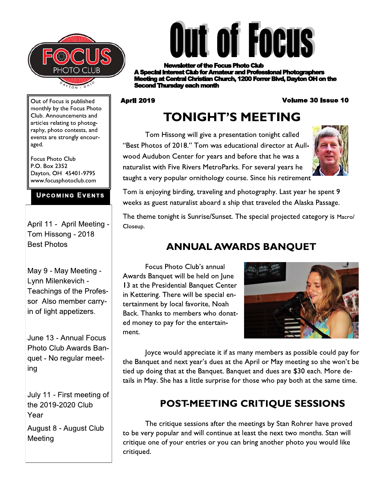



of the Focus Photo Club' st Club for Amateur and Professional Photographers **ig at Central Christian Church, 1200 Forrer Blvd, Davton OH on the and Thursday each month** 

#### **April 2019**

#### **Volume 30 Issue 10**

Out of Focus is published monthly by the Focus Photo Club. Announcements and articles relating to photography, photo contests, and events are strongly encouraged.

**Focus Photo Club** P.O. Box 2352 Dayton, OH 45401-9795 www.focusphotoclub.com

#### **UPCOMING EVENTS**

April 11 - April Meeting -Tom Hissong - 2018 **Best Photos** 

May 9 - May Meeting -Lynn Milenkevich -**Teachings of the Profes**sor Also member carryin of light appetizers.

June 13 - Annual Focus Photo Club Awards Banquet - No regular meeting

July 11 - First meeting of the 2019-2020 Club Year August 8 - August Club Meeting

**TONIGHT'S MEETING** Tom Hissong will give a presentation tonight called

"Best Photos of 2018." Tom was educational director at Aullwood Audubon Center for years and before that he was a naturalist with Five Rivers MetroParks. For several years he taught a very popular ornithology course. Since his retirement



Tom is enjoying birding, traveling and photography. Last year he spent 9 weeks as guest naturalist aboard a ship that traveled the Alaska Passage.

The theme tonight is Sunrise/Sunset. The special projected category is Macro/ Closeup.

## **ANNUAL AWARDS BANQUET**

Focus Photo Club's annual Awards Banquet will be held on June 13 at the Presidential Banquet Center in Kettering. There will be special entertainment by local favorite, Noah Back. Thanks to members who donated money to pay for the entertainment.



Joyce would appreciate it if as many members as possible could pay for the Banquet and next year's dues at the April or May meeting so she won't be tied up doing that at the Banquet. Banquet and dues are \$30 each. More details in May. She has a little surprise for those who pay both at the same time.

# POST-MEETING CRITIQUE SESSIONS

The critique sessions after the meetings by Stan Rohrer have proved to be very popular and will continue at least the next two months. Stan will critique one of your entries or you can bring another photo you would like critiqued.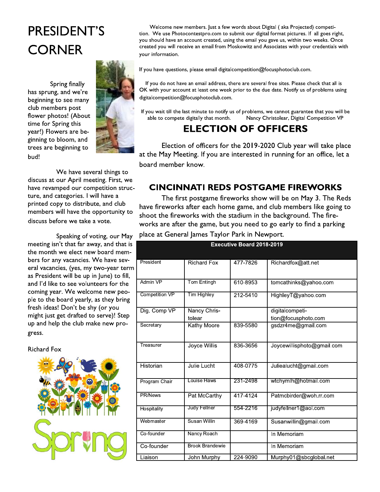# PRESIDENT'S **CORNER**

Spring finally has sprung, and we're beginning to see many club members post flower photos! (About time for Spring this year!) Flowers are beginning to bloom, and trees are beginning to bud!



We have several things to discuss at our April meeting. First, we have revamped our competition structure, and categories. I will have a printed copy to distribute, and club members will have the opportunity to discuss before we take a vote.

Speaking of voting, our May meeting isn't that far away, and that is the month we elect new board members for any vacancies. We have several vacancies, (yes, my two-year term as President will be up in June) to fill, and I'd like to see volunteers for the coming year. We welcome new people to the board yearly, as they bring fresh ideas! Don't be shy (or you might just get drafted to serve)! Step up and help the club make new progress.

**Richard Fox** 



Welcome new members. Just a few words about Digital (aka Projected) competition. We use Photocontestpro.com to submit our digital format pictures. If all goes right, you should have an account created, using the email you gave us, within two weeks. Once created you will receive an email from Moskowitz and Associates with your credentials with your information.

If you have questions, please email digitalcompetition@focusphotoclub.com.

If you do not have an email address, there are several free sites. Please check that all is OK with your account at least one week prior to the due date. Notify us of problems using digitalcompetition@focusphotoclub.com.

If you wait till the last minute to notify us of problems, we cannot guarantee that you will be Nancy Christolear, Digital Competition VP able to compete digitally that month.

### **ELECTION OF OFFICERS**

Election of officers for the 2019-2020 Club year will take place at the May Meeting. If you are interested in running for an office, let a board member know.

### **CINCINNATI REDS POSTGAME FIREWORKS**

The first postgame fireworks show will be on May 3. The Reds have fireworks after each home game, and club members like going to shoot the fireworks with the stadium in the background. The fireworks are after the game, but you need to go early to find a parking place at General James Taylor Park in Newport.

|                 | <b>Executive Board 2018-2019</b> |          |                            |  |
|-----------------|----------------------------------|----------|----------------------------|--|
| President       | <b>Richard Fox</b>               | 477-7826 | Richardfox@att.net         |  |
| <b>Admin VP</b> | Tom Entingh                      | 610-8953 | tomcathinks@yahoo.com      |  |
| Competition VP  | <b>Tim Highley</b>               | 212-5410 | HighleyT@yahoo.com         |  |
| Dig. Comp VP    | Nancy Chris-                     |          | digitalcompeti-            |  |
|                 | tolear                           |          | tion@focusphoto.com        |  |
| Secretary       | <b>Kathy Moore</b>               | 839-5580 | gsdzr4me@gmail.com         |  |
| Treasurer       | Joyce Willis                     | 836-3656 | Joycewillisphoto@gmail.com |  |
| Historian       | Julie Lucht                      | 408-0775 | Juliealucht@gmail.com      |  |
| Program Chair   | Louise Haws                      | 231-2498 | wtchymlh@hotmail.com       |  |
| PR/News         | Pat McCarthy                     | 417-4124 | Patmcbirder@woh.rr.com     |  |
| Hospitality     | Judy Fellner                     | 554-2216 | judyfellner1@aol.com       |  |
| Webmaster       | Susan Willin                     | 369-4169 | Susanwillin@gmail.com      |  |
| Co-founder      | Nancy Roach                      |          | In Memoriam                |  |
| Co-founder      | <b>Brook Brandewie</b>           |          | In Memoriam                |  |
| Liaison         | John Murphy                      | 224-9090 | Murphy01@sbcglobal.net     |  |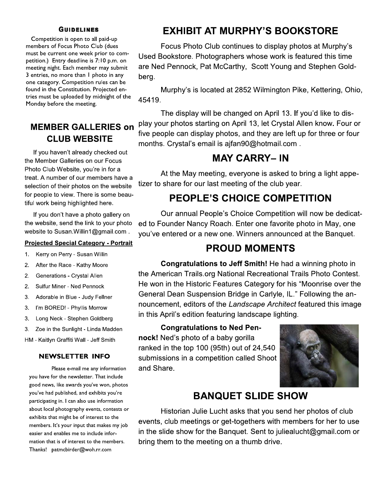#### **GUIDELINES**

Competition is open to all paid-up members of Focus Photo Club (dues must be current one week prior to competition.) Entry deadline is 1:10 p.m. on meeting night. Each member may submit  $\beta$  entries, no more than 1 photo in any one category. Competition rules can be found in the Constitution. Projected entries must be uploaded by midnight of the  $\overline{\phantom{a}}$ Monday before the meeting.

### **MEMBER GALLERIES on** CLUB WEBSITE

If you haven't already checked out the Member Galleries on our Focus Photo Club Website, you're in for a treat. A number of our members have a selection of their photos on the website for people to view. There is some beautiful work being highlighted here.

If you don't have a photo gallery on the website, send the link to your photo website to Susan. Willin1@gmail.com.

#### **Projected Special Category - Portrait**

- 1. Kerry on Perry Susan Willin
- 2. After the Race Kathy Moore
- 2. Generations Crystal Allen
- 2. Sulfur Miner Ned Pennock
- 3. Adorable in Blue Judy Fellner
- 3. I'm BORED! Phyllis Morrow
- 3. Long Neck Stephen Goldberg
- 3. Zoe in the Sunlight Linda Madden

HM - Kaitlyn Graffiti Wall - Jeff Smith

3. Adorable in Blue - Judy Fellner<br>
3. I'm BORED! - Phyllis Morrow<br>
10 mounce<br>
3. Long Neck - Stephen Goldberg<br>
10 m this *4*<br>
3. Zoe in the Sunlight - Linda Madden<br>
HM - Kaitlyn Graffiti Wall - Jeff Smith<br>
10 m DOR!<br>
10 m Please e-mail me any information you have for the newsletter. That include good news, like awards you've won, photos you've had published, and exhibits you're participating in. I can also use information about local photography events, contests or exhibits that might be of interest to the members. It's your input that makes my job easier and enables me to include information that is of interest to the members. Thanks! patmcbirder@woh.rr.com

### EXHIBIT AT MURPHY'S BOOKSTORE

Focus Photo Club continues to display photos at Murphy's Used Bookstore. Photographers whose work is featured this time are Ned Pennock, Pat McCarthy, Scott Young and Stephen Goldberg.

Murphy's is located at 2852 Wilmington Pike, Kettering, Ohio, 45419.

The display will be changed on April 13. If you'd like to display your photos starting on April 13, let Crystal Allen know. Four or five people can display photos, and they are left up for three or four months. Crystal's email is ajfan90@hotmail.com.

#### MAY CARRY– IN

At the May meeting, everyone is asked to bring a light appetizer to share for our last meeting of the club year.

### PEOPLE'S CHOICE COMPETITION

Our annual People's Choice Competition will now be dedicated to Founder Nancy Roach. Enter one favorite photo in May, one you've entered or a new one. Winners announced at the Banquet.

### **PROUD MOMENTS**

Congratulations to Jeff Smith! He had a winning photo in the American Trails.org National Recreational Trails Photo Contest. He won in the Historic Features Category for his "Moonrise over the General Dean Suspension Bridge in Carlyle, IL." Following the announcement, editors of the Landscape Architect featured this image in this April's edition featuring landscape lighting.

**Congratulations to Ned Pen**nock! Ned's photo of a baby gorilla ranked in the top 100 (95th) out of  $24,540$ submissions in a competition called Shoot and Share.



### BANQUET SLIDE SHOW

Historian Julie Lucht asks that you send her photos of club events, club meetings or get-togethers with members for her to use in the slide show for the Banquet. Sent to julieal ucht@gmail.com or bring them to the meeting on a thumb drive.